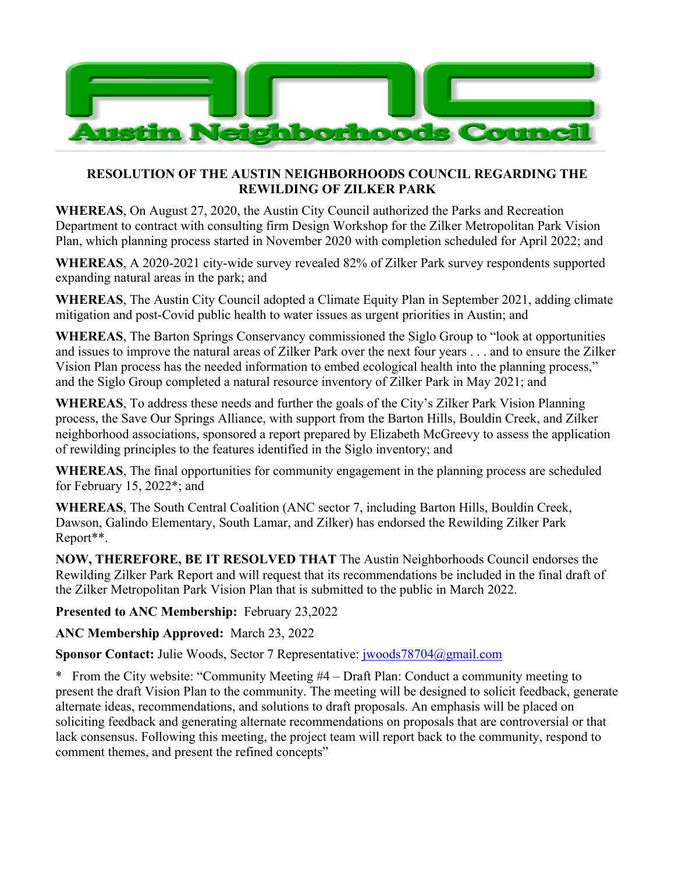

## **RESOLUTION OF THE AUSTIN NEIGHBORHOODS COUNCIL REGARDING THE REWILDING OF ZILKER PARK**

**WHEREAS**, On August 27, 2020, the Austin City Council authorized the Parks and Recreation Department to contract with consulting firm Design Workshop for the Zilker Metropolitan Park Vision Plan, which planning process started in November 2020 with completion scheduled for April 2022; and

**WHEREAS**, A 2020-2021 city-wide survey revealed 82% of Zilker Park survey respondents supported expanding natural areas in the park; and

**WHEREAS**, The Austin City Council adopted a Climate Equity Plan in September 2021, adding climate mitigation and post-Covid public health to water issues as urgent priorities in Austin; and

**WHEREAS**, The Barton Springs Conservancy commissioned the Siglo Group to "look at opportunities and issues to improve the natural areas of Zilker Park over the next four years . . . and to ensure the Zilker Vision Plan process has the needed information to embed ecological health into the planning process," and the Siglo Group completed a natural resource inventory of Zilker Park in May 2021; and

**WHEREAS**, To address these needs and further the goals of the City's Zilker Park Vision Planning process, the Save Our Springs Alliance, with support from the Barton Hills, Bouldin Creek, and Zilker neighborhood associations, sponsored a report prepared by Elizabeth McGreevy to assess the application of rewilding principles to the features identified in the Siglo inventory; and

**WHEREAS**, The final opportunities for community engagement in the planning process are scheduled for February 15, 2022\*; and

**WHEREAS**, The South Central Coalition (ANC sector 7, including Barton Hills, Bouldin Creek, Dawson, Galindo Elementary, South Lamar, and Zilker) has endorsed the Rewilding Zilker Park Report\*\*.

**NOW, THEREFORE, BE IT RESOLVED THAT** The Austin Neighborhoods Council endorses the Rewilding Zilker Park Report and will request that its recommendations be included in the final draft of the Zilker Metropolitan Park Vision Plan that is submitted to the public in March 2022.

**Presented to ANC Membership:** February 23,2022

**ANC Membership Approved:** March 23, 2022

**Sponsor Contact:** Julie Woods, Sector 7 Representative: jwoods78704@gmail.com

\* From the City website: "Community Meeting #4 – Draft Plan: Conduct a community meeting to present the draft Vision Plan to the community. The meeting will be designed to solicit feedback, generate alternate ideas, recommendations, and solutions to draft proposals. An emphasis will be placed on soliciting feedback and generating alternate recommendations on proposals that are controversial or that lack consensus. Following this meeting, the project team will report back to the community, respond to comment themes, and present the refined concepts"